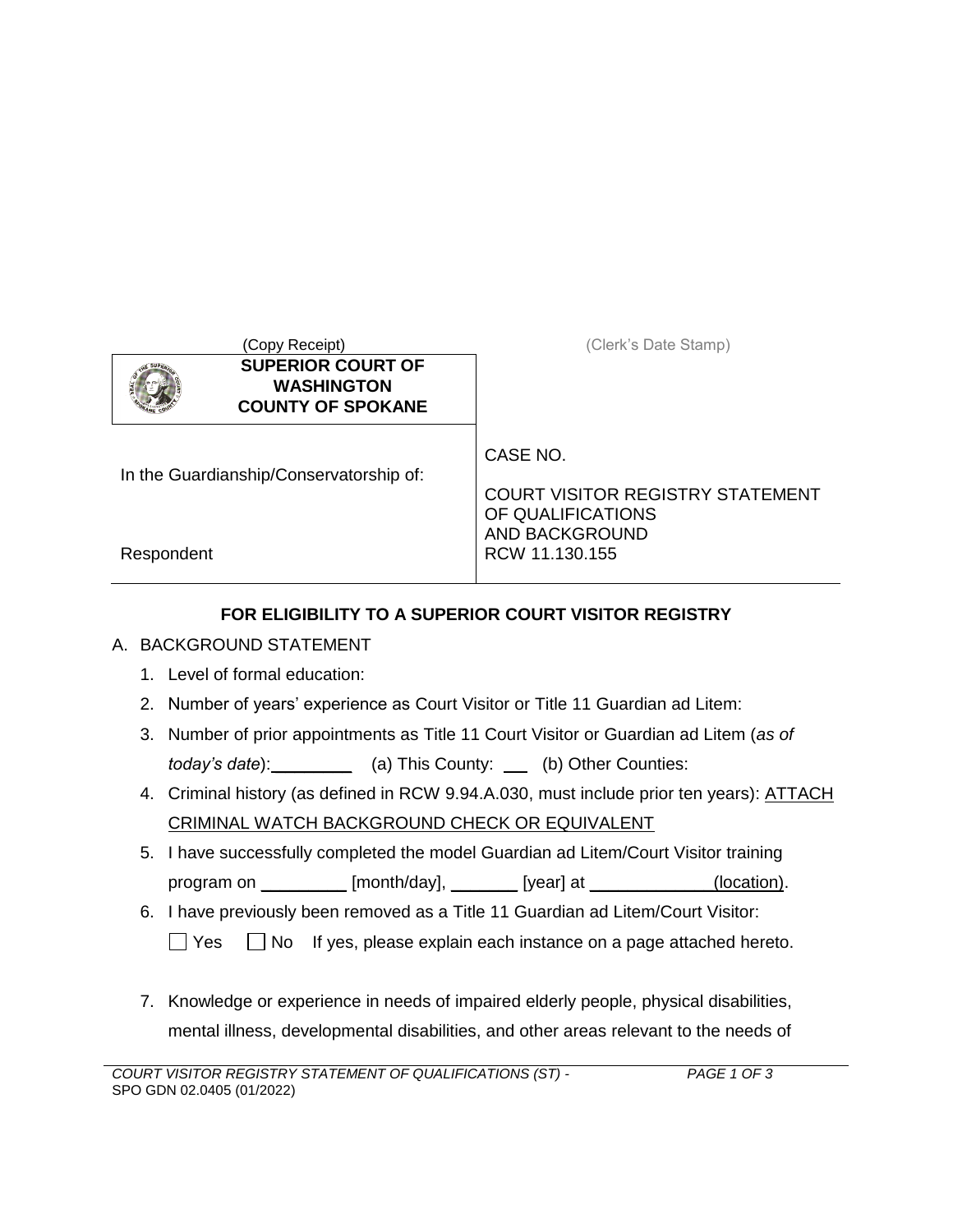|                                         | (Copy Receipt)                                                            | (Clerk's Date Stamp)                                                     |
|-----------------------------------------|---------------------------------------------------------------------------|--------------------------------------------------------------------------|
|                                         | <b>SUPERIOR COURT OF</b><br><b>WASHINGTON</b><br><b>COUNTY OF SPOKANE</b> |                                                                          |
| In the Guardianship/Conservatorship of: |                                                                           | CASE NO.<br><b>COURT VISITOR REGISTRY STATEMENT</b><br>OF QUALIFICATIONS |
| Respondent                              |                                                                           | <b>AND BACKGROUND</b><br>RCW 11.130.155                                  |

## **FOR ELIGIBILITY TO A SUPERIOR COURT VISITOR REGISTRY**

## A. BACKGROUND STATEMENT

- 1. Level of formal education:
- 2. Number of years' experience as Court Visitor or Title 11 Guardian ad Litem:
- 3. Number of prior appointments as Title 11 Court Visitor or Guardian ad Litem (*as of today's date*): \_\_\_\_\_\_\_\_\_\_ (a) This County: \_\_\_ (b) Other Counties:
- 4. Criminal history (as defined in RCW 9.94.A.030, must include prior ten years): **ATTACH** CRIMINAL WATCH BACKGROUND CHECK OR EQUIVALENT
- 5. I have successfully completed the model Guardian ad Litem/Court Visitor training program on \_\_\_\_\_\_\_\_\_\_ [month/day], \_\_\_\_\_\_\_\_ [year] at \_\_\_\_\_\_\_\_\_\_\_\_\_(location).
- 6. I have previously been removed as a Title 11 Guardian ad Litem/Court Visitor:

 $\Box$  Yes  $\Box$  No If yes, please explain each instance on a page attached hereto.

7. Knowledge or experience in needs of impaired elderly people, physical disabilities, mental illness, developmental disabilities, and other areas relevant to the needs of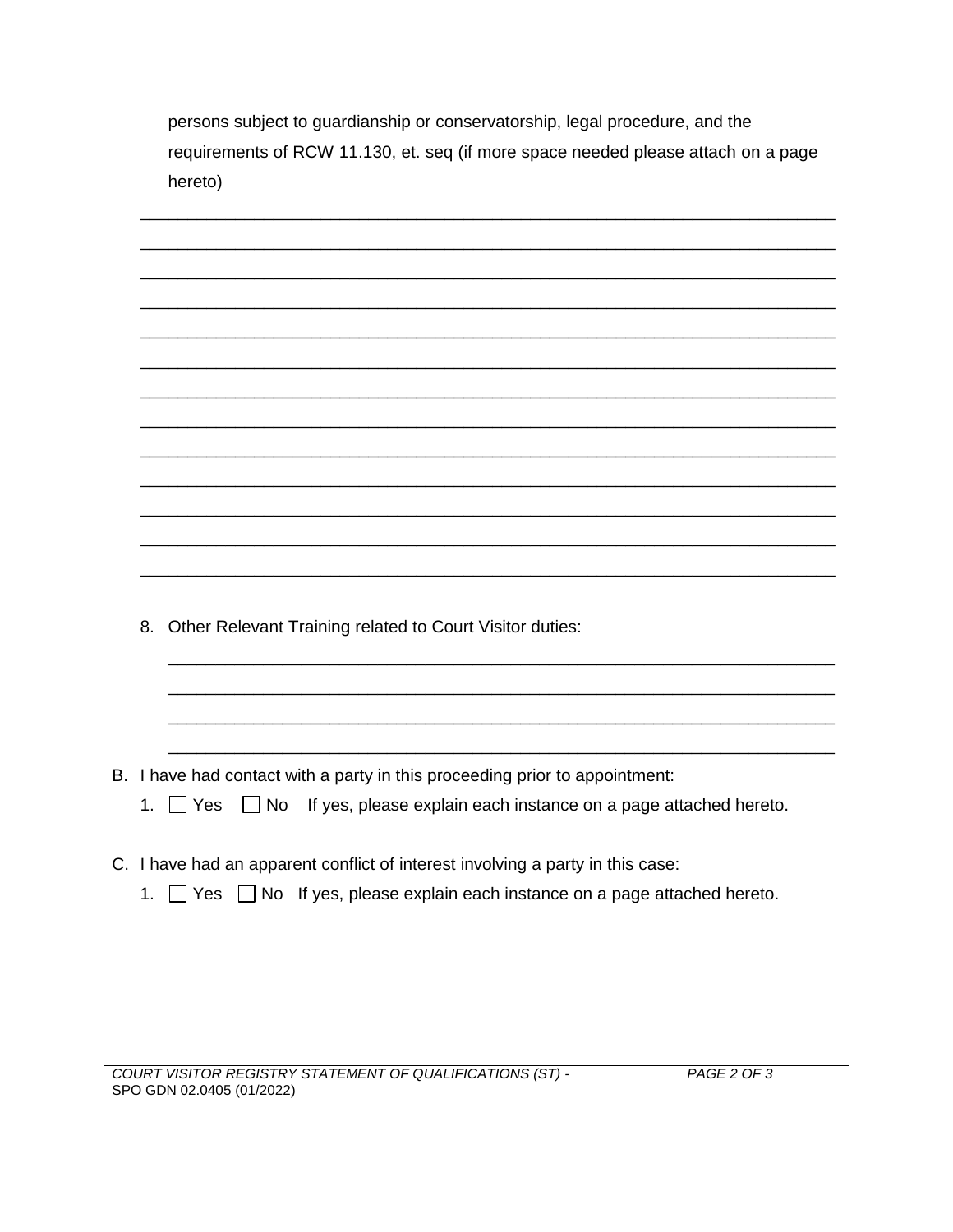persons subject to guardianship or conservatorship, legal procedure, and the requirements of RCW 11.130, et. seq (if more space needed please attach on a page hereto)

| 8. Other Relevant Training related to Court Visitor duties:                                |  |  |
|--------------------------------------------------------------------------------------------|--|--|
|                                                                                            |  |  |
|                                                                                            |  |  |
|                                                                                            |  |  |
|                                                                                            |  |  |
|                                                                                            |  |  |
| B. I have had contact with a party in this proceeding prior to appointment:                |  |  |
| $\Box$ No If yes, please explain each instance on a page attached hereto.<br>1. $\Box$ Yes |  |  |
|                                                                                            |  |  |
| C. I have had an apparent conflict of interest involving a party in this case:             |  |  |

1. Yes No If yes, please explain each instance on a page attached hereto.